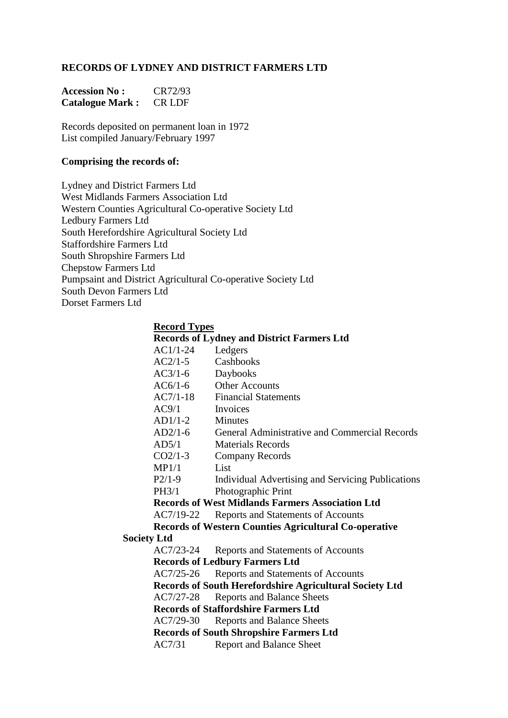### **RECORDS OF LYDNEY AND DISTRICT FARMERS LTD**

| <b>Accession No:</b>   | CR72/93       |
|------------------------|---------------|
| <b>Catalogue Mark:</b> | <b>CR LDF</b> |

Records deposited on permanent loan in 1972 List compiled January/February 1997

#### **Comprising the records of:**

Lydney and District Farmers Ltd West Midlands Farmers Association Ltd Western Counties Agricultural Co-operative Society Ltd Ledbury Farmers Ltd South Herefordshire Agricultural Society Ltd Staffordshire Farmers Ltd South Shropshire Farmers Ltd Chepstow Farmers Ltd Pumpsaint and District Agricultural Co-operative Society Ltd South Devon Farmers Ltd Dorset Farmers Ltd

#### **Record Types**

| <b>Records of Lydney and District Farmers Ltd</b> |                                                                |  |
|---------------------------------------------------|----------------------------------------------------------------|--|
| $AC1/1-24$                                        | Ledgers                                                        |  |
| $AC2/1-5$                                         | Cashbooks                                                      |  |
| $AC3/1-6$                                         | Daybooks                                                       |  |
| $AC6/1-6$                                         | <b>Other Accounts</b>                                          |  |
| $AC7/1-18$                                        | <b>Financial Statements</b>                                    |  |
| AC9/1                                             | Invoices                                                       |  |
| $AD1/1-2$                                         | <b>Minutes</b>                                                 |  |
| $AD2/1-6$                                         | <b>General Administrative and Commercial Records</b>           |  |
| AD5/1                                             | <b>Materials Records</b>                                       |  |
| $CO2/1-3$                                         | Company Records                                                |  |
| MP1/1                                             | List                                                           |  |
| $P2/1-9$                                          | Individual Advertising and Servicing Publications              |  |
| <b>PH3/1</b>                                      | Photographic Print                                             |  |
|                                                   | <b>Records of West Midlands Farmers Association Ltd</b>        |  |
| AC7/19-22                                         | Reports and Statements of Accounts                             |  |
|                                                   | <b>Records of Western Counties Agricultural Co-operative</b>   |  |
|                                                   |                                                                |  |
| $AC7/23-24$                                       | Reports and Statements of Accounts                             |  |
|                                                   | <b>Records of Ledbury Farmers Ltd</b>                          |  |
| AC7/25-26                                         | Reports and Statements of Accounts                             |  |
|                                                   | <b>Records of South Herefordshire Agricultural Society Ltd</b> |  |
| AC7/27-28                                         | <b>Reports and Balance Sheets</b>                              |  |
|                                                   | <b>Records of Staffordshire Farmers Ltd</b>                    |  |
| $AC7/29-30$                                       | <b>Reports and Balance Sheets</b>                              |  |
| <b>Records of South Shropshire Farmers Ltd</b>    |                                                                |  |
| AC7/31                                            | <b>Report and Balance Sheet</b>                                |  |
|                                                   | <b>Society Ltd</b>                                             |  |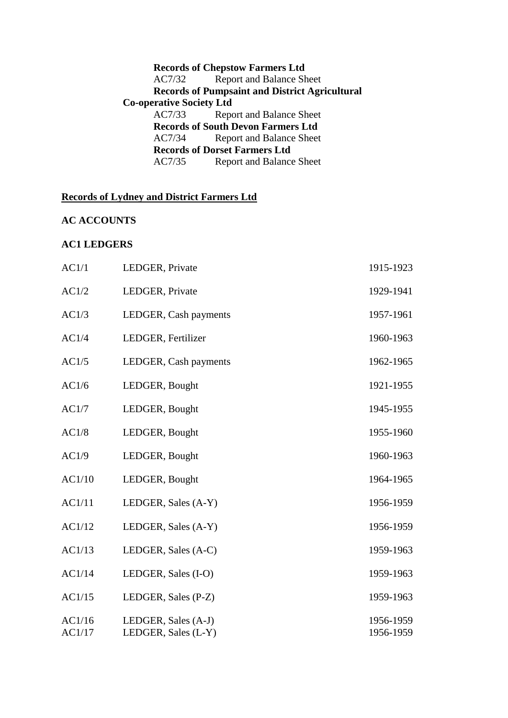|                                 | <b>Records of Chepstow Farmers Ltd</b>                |
|---------------------------------|-------------------------------------------------------|
| AC7/32                          | <b>Report and Balance Sheet</b>                       |
|                                 | <b>Records of Pumpsaint and District Agricultural</b> |
| <b>Co-operative Society Ltd</b> |                                                       |
| AC7/33                          | Report and Balance Sheet                              |
|                                 | <b>Records of South Devon Farmers Ltd</b>             |
| AC7/34                          | <b>Report and Balance Sheet</b>                       |
|                                 | <b>Records of Dorset Farmers Ltd</b>                  |
| AC7/35                          | <b>Report and Balance Sheet</b>                       |

# **Records of Lydney and District Farmers Ltd**

# **AC ACCOUNTS**

### **AC1 LEDGERS**

| AC1/1            | LEDGER, Private                            | 1915-1923              |
|------------------|--------------------------------------------|------------------------|
| AC1/2            | LEDGER, Private                            | 1929-1941              |
| AC1/3            | LEDGER, Cash payments                      | 1957-1961              |
| AC1/4            | LEDGER, Fertilizer                         | 1960-1963              |
| AC1/5            | LEDGER, Cash payments                      | 1962-1965              |
| AC1/6            | LEDGER, Bought                             | 1921-1955              |
| AC1/7            | LEDGER, Bought                             | 1945-1955              |
| AC1/8            | LEDGER, Bought                             | 1955-1960              |
| AC1/9            | LEDGER, Bought                             | 1960-1963              |
| AC1/10           | LEDGER, Bought                             | 1964-1965              |
| AC1/11           | LEDGER, Sales (A-Y)                        | 1956-1959              |
| AC1/12           | LEDGER, Sales (A-Y)                        | 1956-1959              |
| AC1/13           | LEDGER, Sales (A-C)                        | 1959-1963              |
| AC1/14           | LEDGER, Sales (I-O)                        | 1959-1963              |
| AC1/15           | LEDGER, Sales (P-Z)                        | 1959-1963              |
| AC1/16<br>AC1/17 | LEDGER, Sales (A-J)<br>LEDGER, Sales (L-Y) | 1956-1959<br>1956-1959 |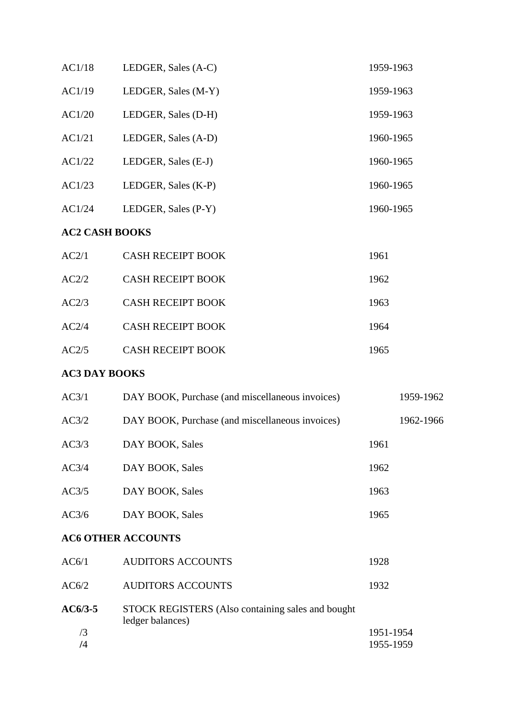| AC1/18                | LEDGER, Sales (A-C)                                                   | 1959-1963              |
|-----------------------|-----------------------------------------------------------------------|------------------------|
| AC1/19                | LEDGER, Sales (M-Y)                                                   | 1959-1963              |
| AC1/20                | LEDGER, Sales (D-H)                                                   | 1959-1963              |
| AC1/21                | LEDGER, Sales (A-D)                                                   | 1960-1965              |
| AC1/22                | LEDGER, Sales (E-J)                                                   | 1960-1965              |
| AC1/23                | LEDGER, Sales (K-P)                                                   | 1960-1965              |
| AC1/24                | LEDGER, Sales (P-Y)                                                   | 1960-1965              |
| <b>AC2 CASH BOOKS</b> |                                                                       |                        |
| AC2/1                 | <b>CASH RECEIPT BOOK</b>                                              | 1961                   |
| AC2/2                 | <b>CASH RECEIPT BOOK</b>                                              | 1962                   |
| AC2/3                 | <b>CASH RECEIPT BOOK</b>                                              | 1963                   |
| AC2/4                 | <b>CASH RECEIPT BOOK</b>                                              | 1964                   |
| AC2/5                 | <b>CASH RECEIPT BOOK</b>                                              | 1965                   |
| <b>AC3 DAY BOOKS</b>  |                                                                       |                        |
| AC3/1                 | DAY BOOK, Purchase (and miscellaneous invoices)                       | 1959-1962              |
| AC3/2                 | DAY BOOK, Purchase (and miscellaneous invoices)                       | 1962-1966              |
| AC3/3                 | DAY BOOK, Sales                                                       | 1961                   |
| AC3/4                 | DAY BOOK, Sales                                                       | 1962                   |
| AC3/5                 | DAY BOOK, Sales                                                       | 1963                   |
| AC3/6                 | DAY BOOK, Sales                                                       | 1965                   |
|                       | <b>AC6 OTHER ACCOUNTS</b>                                             |                        |
| AC6/1                 | <b>AUDITORS ACCOUNTS</b>                                              | 1928                   |
| AC6/2                 | <b>AUDITORS ACCOUNTS</b>                                              | 1932                   |
| $AC6/3-5$             | STOCK REGISTERS (Also containing sales and bought<br>ledger balances) |                        |
| /3<br>$\sqrt{4}$      |                                                                       | 1951-1954<br>1955-1959 |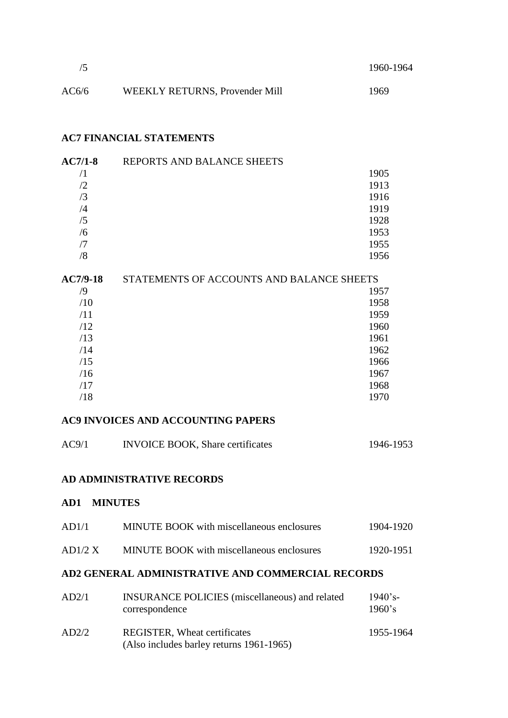|       |                                | 1960-1964 |
|-------|--------------------------------|-----------|
| AC6/6 | WEEKLY RETURNS, Provender Mill | 1969      |

## **AC7 FINANCIAL STATEMENTS**

| $AC7/1-8$  | REPORTS AND BALANCE SHEETS |      |
|------------|----------------------------|------|
|            |                            | 1905 |
| /2         |                            | 1913 |
| $\sqrt{3}$ |                            | 1916 |
| /4         |                            | 1919 |
| /5         |                            | 1928 |
| /6         |                            | 1953 |
|            |                            | 1955 |
| ′8         |                            | 1956 |

| <b>AC7/9-18</b> | STATEMENTS OF ACCOUNTS AND BALANCE SHEETS |  |
|-----------------|-------------------------------------------|--|
| /9              | 1957                                      |  |
| /10             | 1958                                      |  |
| /11             | 1959                                      |  |
| /12             | 1960                                      |  |
| /13             | 1961                                      |  |
| /14             | 1962                                      |  |
| /15             | 1966                                      |  |
| /16             | 1967                                      |  |
| /17             | 1968                                      |  |
| /18             | 1970                                      |  |

# **AC9 INVOICES AND ACCOUNTING PAPERS**

| AC9/1 | <b>INVOICE BOOK, Share certificates</b> | 1946-1953 |
|-------|-----------------------------------------|-----------|
|       |                                         |           |

#### **AD ADMINISTRATIVE RECORDS**

# **AD1 MINUTES**

| AD1/1   | <b>MINUTE BOOK</b> with miscellaneous enclosures                        | 1904-1920               |
|---------|-------------------------------------------------------------------------|-------------------------|
| AD1/2 X | MINUTE BOOK with miscellaneous enclosures                               | 1920-1951               |
|         | AD2 GENERAL ADMINISTRATIVE AND COMMERCIAL RECORDS                       |                         |
| AD2/1   | <b>INSURANCE POLICIES</b> (miscellaneous) and related<br>correspondence | $1940$ 's-<br>$1960$ 's |

| AD2/2 | <b>REGISTER, Wheat certificates</b>      | 1955-1964 |
|-------|------------------------------------------|-----------|
|       | (Also includes barley returns 1961-1965) |           |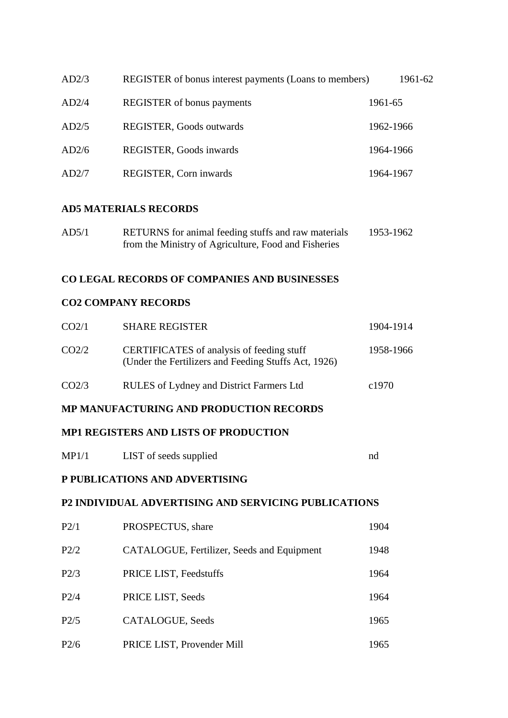| AD2/3 | REGISTER of bonus interest payments (Loans to members) | 1961-62   |
|-------|--------------------------------------------------------|-----------|
| AD2/4 | <b>REGISTER</b> of bonus payments                      | 1961-65   |
| AD2/5 | REGISTER, Goods outwards                               | 1962-1966 |
| AD2/6 | REGISTER, Goods inwards                                | 1964-1966 |
| AD2/7 | REGISTER, Corn inwards                                 | 1964-1967 |

### **AD5 MATERIALS RECORDS**

| AD5/1 | RETURNS for animal feeding stuffs and raw materials  | 1953-1962 |
|-------|------------------------------------------------------|-----------|
|       | from the Ministry of Agriculture, Food and Fisheries |           |

### **CO LEGAL RECORDS OF COMPANIES AND BUSINESSES**

### **CO2 COMPANY RECORDS**

| CO <sub>2/1</sub> | <b>SHARE REGISTER</b>                                                                                    | 1904-1914         |
|-------------------|----------------------------------------------------------------------------------------------------------|-------------------|
| CO <sub>2/2</sub> | <b>CERTIFICATES</b> of analysis of feeding stuff<br>(Under the Fertilizers and Feeding Stuffs Act, 1926) | 1958-1966         |
| CO <sub>2/3</sub> | RULES of Lydney and District Farmers Ltd                                                                 | c <sub>1970</sub> |

### **MP MANUFACTURING AND PRODUCTION RECORDS**

### **MP1 REGISTERS AND LISTS OF PRODUCTION**

| MP1/1 | LIST of seeds supplied |  |
|-------|------------------------|--|
|-------|------------------------|--|

### **P PUBLICATIONS AND ADVERTISING**

### **P2 INDIVIDUAL ADVERTISING AND SERVICING PUBLICATIONS**

| P2/1 | PROSPECTUS, share                          | 1904 |
|------|--------------------------------------------|------|
| P2/2 | CATALOGUE, Fertilizer, Seeds and Equipment | 1948 |
| P2/3 | PRICE LIST, Feedstuffs                     | 1964 |
| P2/4 | PRICE LIST, Seeds                          | 1964 |
| P2/5 | CATALOGUE, Seeds                           | 1965 |
| P2/6 | PRICE LIST, Provender Mill                 | 1965 |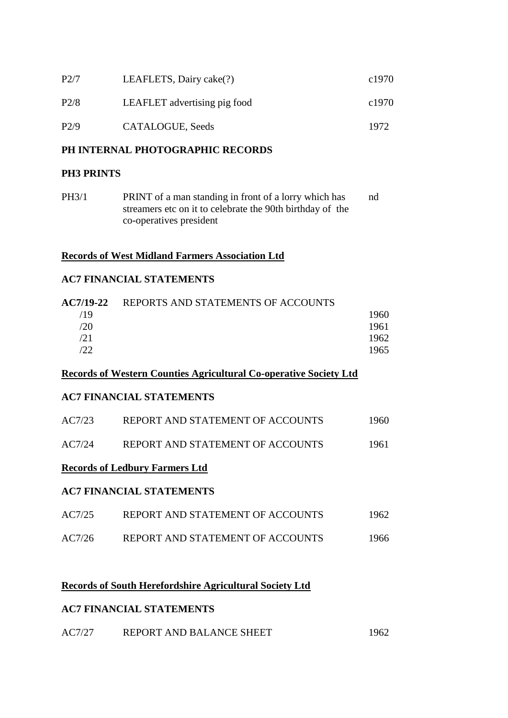| P2/7 | LEAFLETS, Dairy cake(?)      | c1970 |
|------|------------------------------|-------|
| P2/8 | LEAFLET advertising pig food | c1970 |
| P2/9 | CATALOGUE, Seeds             | 1972  |

### **PH INTERNAL PHOTOGRAPHIC RECORDS**

### **PH3 PRINTS**

PH3/1 PRINT of a man standing in front of a lorry which has nd streamers etc on it to celebrate the 90th birthday of the co-operatives president

### **Records of West Midland Farmers Association Ltd**

### **AC7 FINANCIAL STATEMENTS**

| AC7/19-22 | REPORTS AND STATEMENTS OF ACCOUNTS |      |
|-----------|------------------------------------|------|
| /19       |                                    | 1960 |
| /20       |                                    | 1961 |
| /21       |                                    | 1962 |
| 122.      |                                    | 1965 |
|           |                                    |      |

#### **Records of Western Counties Agricultural Co-operative Society Ltd**

### **AC7 FINANCIAL STATEMENTS**

| AC7/23 | REPORT AND STATEMENT OF ACCOUNTS | 1960 |
|--------|----------------------------------|------|
| AC7/24 | REPORT AND STATEMENT OF ACCOUNTS | 1961 |

### **Records of Ledbury Farmers Ltd**

### **AC7 FINANCIAL STATEMENTS**

| AC7/25 | REPORT AND STATEMENT OF ACCOUNTS | 1962 |
|--------|----------------------------------|------|
| AC7/26 | REPORT AND STATEMENT OF ACCOUNTS | 1966 |

# **Records of South Herefordshire Agricultural Society Ltd**

#### **AC7 FINANCIAL STATEMENTS**